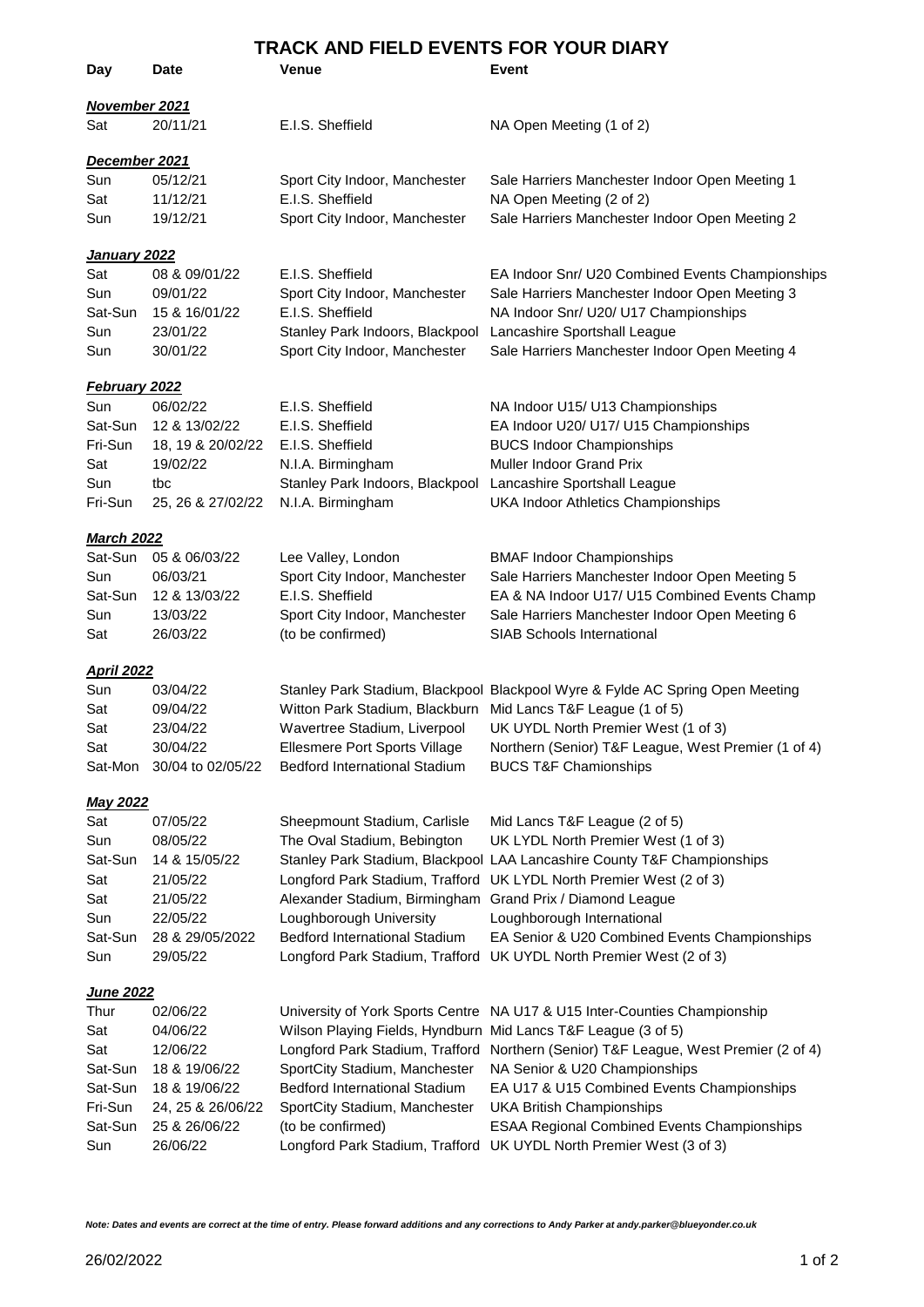| TRACK AND FIELD EVENTS FOR YOUR DIARY |                   |                                                               |                                                                               |  |
|---------------------------------------|-------------------|---------------------------------------------------------------|-------------------------------------------------------------------------------|--|
| Day                                   | <b>Date</b>       | Venue                                                         | Event                                                                         |  |
| November 2021                         |                   |                                                               |                                                                               |  |
| Sat                                   | 20/11/21          | E.I.S. Sheffield                                              | NA Open Meeting (1 of 2)                                                      |  |
| December 2021                         |                   |                                                               |                                                                               |  |
| Sun                                   | 05/12/21          | Sport City Indoor, Manchester                                 | Sale Harriers Manchester Indoor Open Meeting 1                                |  |
| Sat                                   | 11/12/21          | E.I.S. Sheffield                                              | NA Open Meeting (2 of 2)                                                      |  |
| Sun                                   | 19/12/21          | Sport City Indoor, Manchester                                 | Sale Harriers Manchester Indoor Open Meeting 2                                |  |
| <u>January 2022</u>                   |                   |                                                               |                                                                               |  |
| Sat                                   | 08 & 09/01/22     | E.I.S. Sheffield                                              | EA Indoor Snr/ U20 Combined Events Championships                              |  |
| Sun                                   | 09/01/22          | Sport City Indoor, Manchester                                 | Sale Harriers Manchester Indoor Open Meeting 3                                |  |
| Sat-Sun                               | 15 & 16/01/22     | E.I.S. Sheffield                                              | NA Indoor Snr/ U20/ U17 Championships                                         |  |
| Sun                                   | 23/01/22          | Stanley Park Indoors, Blackpool Lancashire Sportshall League  |                                                                               |  |
| Sun                                   | 30/01/22          | Sport City Indoor, Manchester                                 | Sale Harriers Manchester Indoor Open Meeting 4                                |  |
| <b>February 2022</b>                  |                   |                                                               |                                                                               |  |
| Sun                                   | 06/02/22          | E.I.S. Sheffield                                              | NA Indoor U15/ U13 Championships                                              |  |
| Sat-Sun                               | 12 & 13/02/22     | E.I.S. Sheffield                                              | EA Indoor U20/ U17/ U15 Championships                                         |  |
| Fri-Sun                               | 18, 19 & 20/02/22 | E.I.S. Sheffield                                              | <b>BUCS Indoor Championships</b>                                              |  |
| Sat                                   | 19/02/22          | N.I.A. Birmingham                                             | Muller Indoor Grand Prix                                                      |  |
| Sun<br>Fri-Sun                        | tbc               | Stanley Park Indoors, Blackpool Lancashire Sportshall League  |                                                                               |  |
|                                       | 25, 26 & 27/02/22 | N.I.A. Birmingham                                             | <b>UKA Indoor Athletics Championships</b>                                     |  |
| <b>March 2022</b>                     |                   |                                                               |                                                                               |  |
| Sat-Sun                               | 05 & 06/03/22     | Lee Valley, London                                            | <b>BMAF Indoor Championships</b>                                              |  |
| Sun                                   | 06/03/21          | Sport City Indoor, Manchester                                 | Sale Harriers Manchester Indoor Open Meeting 5                                |  |
| Sat-Sun                               | 12 & 13/03/22     | E.I.S. Sheffield                                              | EA & NA Indoor U17/ U15 Combined Events Champ                                 |  |
| Sun                                   | 13/03/22          | Sport City Indoor, Manchester                                 | Sale Harriers Manchester Indoor Open Meeting 6                                |  |
| Sat                                   | 26/03/22          | (to be confirmed)                                             | SIAB Schools International                                                    |  |
| <b>April 2022</b>                     |                   |                                                               |                                                                               |  |
| Sun                                   | 03/04/22          |                                                               | Stanley Park Stadium, Blackpool Blackpool Wyre & Fylde AC Spring Open Meeting |  |
| Sat                                   | 09/04/22          | Witton Park Stadium, Blackburn Mid Lancs T&F League (1 of 5)  |                                                                               |  |
| Sat                                   | 23/04/22          |                                                               | Wavertree Stadium, Liverpool UK UYDL North Premier West (1 of 3)              |  |
| Sat                                   | 30/04/22          | Ellesmere Port Sports Village                                 | Northern (Senior) T&F League, West Premier (1 of 4)                           |  |
| Sat-Mon                               | 30/04 to 02/05/22 | <b>Bedford International Stadium</b>                          | <b>BUCS T&amp;F Chamionships</b>                                              |  |
| <b>May 2022</b>                       |                   |                                                               |                                                                               |  |
| Sat                                   | 07/05/22          | Sheepmount Stadium, Carlisle                                  | Mid Lancs T&F League (2 of 5)                                                 |  |
| Sun                                   | 08/05/22          | The Oval Stadium, Bebington                                   | UK LYDL North Premier West (1 of 3)                                           |  |
| Sat-Sun                               | 14 & 15/05/22     |                                                               | Stanley Park Stadium, Blackpool LAA Lancashire County T&F Championships       |  |
| Sat                                   | 21/05/22          |                                                               | Longford Park Stadium, Trafford UK LYDL North Premier West (2 of 3)           |  |
| Sat                                   | 21/05/22          | Alexander Stadium, Birmingham                                 | Grand Prix / Diamond League                                                   |  |
| Sun                                   | 22/05/22          | Loughborough University                                       | Loughborough International                                                    |  |
| Sat-Sun                               | 28 & 29/05/2022   | <b>Bedford International Stadium</b>                          | EA Senior & U20 Combined Events Championships                                 |  |
| Sun                                   | 29/05/22          | Longford Park Stadium, Trafford                               | UK UYDL North Premier West (2 of 3)                                           |  |
| <u>June 2022</u>                      |                   |                                                               |                                                                               |  |
| Thur                                  | 02/06/22          |                                                               | University of York Sports Centre NA U17 & U15 Inter-Counties Championship     |  |
| Sat                                   | 04/06/22          | Wilson Playing Fields, Hyndburn Mid Lancs T&F League (3 of 5) |                                                                               |  |
| Sat                                   | 12/06/22          | Longford Park Stadium, Trafford                               | Northern (Senior) T&F League, West Premier (2 of 4)                           |  |
| Sat-Sun                               | 18 & 19/06/22     | SportCity Stadium, Manchester                                 | NA Senior & U20 Championships                                                 |  |
| Sat-Sun                               | 18 & 19/06/22     | Bedford International Stadium                                 | EA U17 & U15 Combined Events Championships                                    |  |
| Fri-Sun                               | 24, 25 & 26/06/22 | SportCity Stadium, Manchester                                 | <b>UKA British Championships</b>                                              |  |
| Sat-Sun                               | 25 & 26/06/22     | (to be confirmed)                                             | <b>ESAA Regional Combined Events Championships</b>                            |  |
| Sun                                   | 26/06/22          |                                                               | Longford Park Stadium, Trafford UK UYDL North Premier West (3 of 3)           |  |
|                                       |                   |                                                               |                                                                               |  |

*Note: Dates and events are correct at the time of entry. Please forward additions and any corrections to Andy Parker at andy.parker@blueyonder.co.uk*